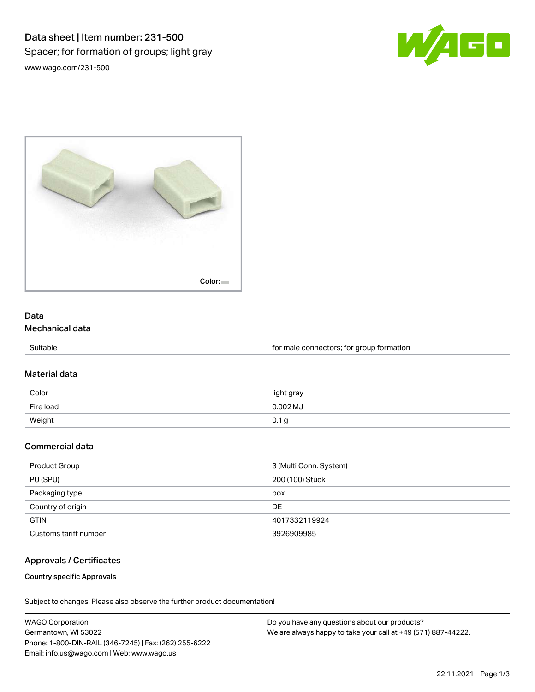



# Data Mechanical data

Suitable Suitable **Suitable for male connectors**; for group formation

### Material data

| Color     | light gray |
|-----------|------------|
| Fire load | $0.002$ MJ |
| Weight    | 0.1 g      |

## Commercial data

| Product Group         | 3 (Multi Conn. System) |
|-----------------------|------------------------|
| PU (SPU)              | 200 (100) Stück        |
| Packaging type        | box                    |
| Country of origin     | DE                     |
| <b>GTIN</b>           | 4017332119924          |
| Customs tariff number | 3926909985             |

## Approvals / Certificates

### Country specific Approvals

Subject to changes. Please also observe the further product documentation!

| <b>WAGO Corporation</b>                                | Do you have any questions about our products?                 |
|--------------------------------------------------------|---------------------------------------------------------------|
| Germantown, WI 53022                                   | We are always happy to take your call at +49 (571) 887-44222. |
| Phone: 1-800-DIN-RAIL (346-7245)   Fax: (262) 255-6222 |                                                               |
| Email: info.us@wago.com   Web: www.wago.us             |                                                               |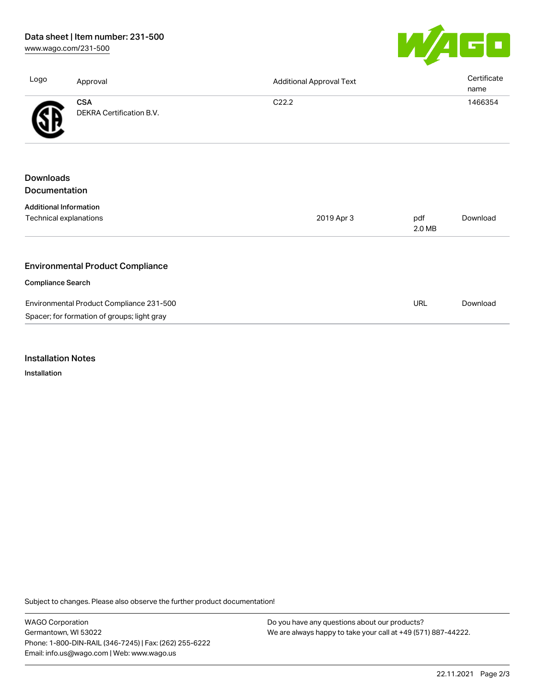# Data sheet | Item number: 231-500

[www.wago.com/231-500](http://www.wago.com/231-500)



| Logo                              | Approval                                    | <b>Additional Approval Text</b> |               | Certificate<br>name |
|-----------------------------------|---------------------------------------------|---------------------------------|---------------|---------------------|
|                                   | <b>CSA</b><br>DEKRA Certification B.V.      | C <sub>22.2</sub>               |               | 1466354             |
|                                   |                                             |                                 |               |                     |
| <b>Downloads</b><br>Documentation |                                             |                                 |               |                     |
|                                   |                                             |                                 |               |                     |
| <b>Additional Information</b>     |                                             |                                 |               |                     |
| Technical explanations            |                                             | 2019 Apr 3                      | pdf<br>2.0 MB | Download            |
|                                   |                                             |                                 |               |                     |
|                                   | <b>Environmental Product Compliance</b>     |                                 |               |                     |
| <b>Compliance Search</b>          |                                             |                                 |               |                     |
|                                   | Environmental Product Compliance 231-500    |                                 | <b>URL</b>    | Download            |
|                                   | Spacer; for formation of groups; light gray |                                 |               |                     |

Installation Notes

Installation

Subject to changes. Please also observe the further product documentation!

WAGO Corporation Germantown, WI 53022 Phone: 1-800-DIN-RAIL (346-7245) | Fax: (262) 255-6222 Email: info.us@wago.com | Web: www.wago.us

Do you have any questions about our products? We are always happy to take your call at +49 (571) 887-44222.